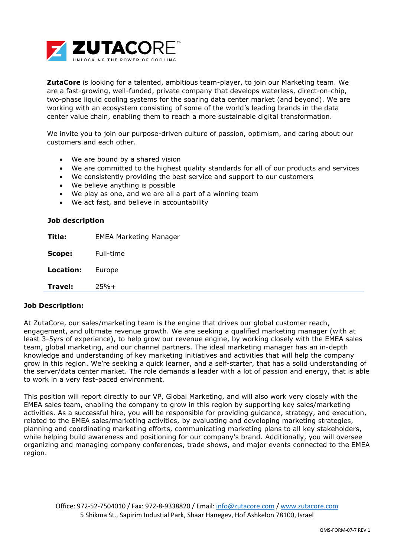

**ZutaCore** is looking for a talented, ambitious team-player, to join our Marketing team. We are a fast-growing, well-funded, private company that develops waterless, direct-on-chip, two-phase liquid cooling systems for the soaring data center market (and beyond). We are working with an ecosystem consisting of some of the world's leading brands in the data center value chain, enabling them to reach a more sustainable digital transformation.

We invite you to join our purpose-driven culture of passion, optimism, and caring about our customers and each other.

- We are bound by a shared vision
- We are committed to the highest quality standards for all of our products and services
- We consistently providing the best service and support to our customers
- We believe anything is possible
- We play as one, and we are all a part of a winning team
- We act fast, and believe in accountability

| Job description |  |
|-----------------|--|
|                 |  |

| Title:                  | <b>EMEA Marketing Manager</b> |
|-------------------------|-------------------------------|
| Scope:                  | Full-time                     |
| <b>Location:</b> Europe |                               |
| Travel:                 | $25%+$                        |

## **Job Description:**

At ZutaCore, our sales/marketing team is the engine that drives our global customer reach, engagement, and ultimate revenue growth. We are seeking a qualified marketing manager (with at least 3-5yrs of experience), to help grow our revenue engine, by working closely with the EMEA sales team, global marketing, and our channel partners. The ideal marketing manager has an in-depth knowledge and understanding of key marketing initiatives and activities that will help the company grow in this region. We're seeking a quick learner, and a self-starter, that has a solid understanding of the server/data center market. The role demands a leader with a lot of passion and energy, that is able to work in a very fast-paced environment.

This position will report directly to our VP, Global Marketing, and will also work very closely with the EMEA sales team, enabling the company to grow in this region by supporting key sales/marketing activities. As a successful hire, you will be responsible for providing guidance, strategy, and execution, related to the EMEA sales/marketing activities, by evaluating and developing marketing strategies, planning and coordinating marketing efforts, communicating marketing plans to all key stakeholders, while helping build awareness and positioning for our company's brand. Additionally, you will oversee organizing and managing company conferences, trade shows, and major events connected to the EMEA region.